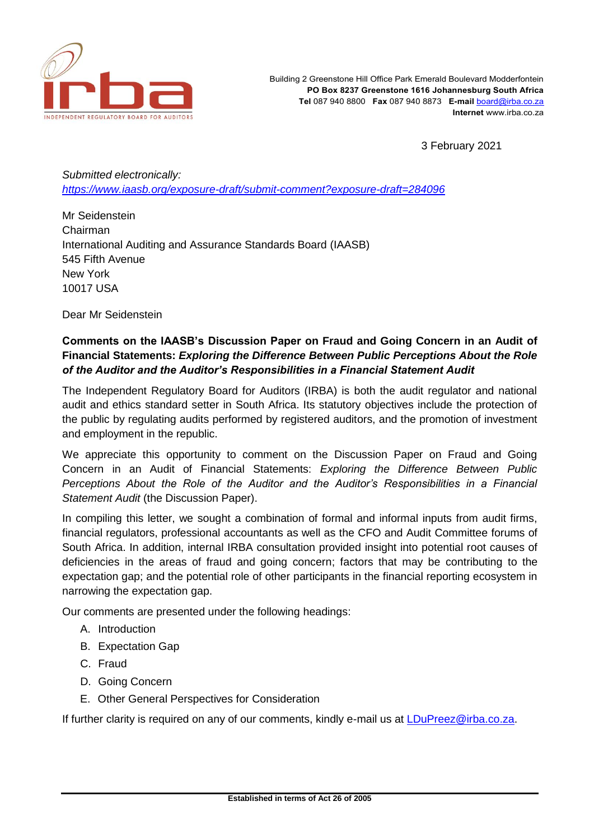

3 February 2021

*Submitted electronically: <https://www.iaasb.org/exposure-draft/submit-comment?exposure-draft=284096>*

Mr Seidenstein Chairman International Auditing and Assurance Standards Board (IAASB) 545 Fifth Avenue New York 10017 USA

Dear Mr Seidenstein

# **Comments on the IAASB's Discussion Paper on Fraud and Going Concern in an Audit of Financial Statements:** *Exploring the Difference Between Public Perceptions About the Role of the Auditor and the Auditor's Responsibilities in a Financial Statement Audit*

The Independent Regulatory Board for Auditors (IRBA) is both the audit regulator and national audit and ethics standard setter in South Africa. Its statutory objectives include the protection of the public by regulating audits performed by registered auditors, and the promotion of investment and employment in the republic.

We appreciate this opportunity to comment on the Discussion Paper on Fraud and Going Concern in an Audit of Financial Statements: *Exploring the Difference Between Public Perceptions About the Role of the Auditor and the Auditor's Responsibilities in a Financial Statement Audit* (the Discussion Paper).

In compiling this letter, we sought a combination of formal and informal inputs from audit firms, financial regulators, professional accountants as well as the CFO and Audit Committee forums of South Africa. In addition, internal IRBA consultation provided insight into potential root causes of deficiencies in the areas of fraud and going concern; factors that may be contributing to the expectation gap; and the potential role of other participants in the financial reporting ecosystem in narrowing the expectation gap.

Our comments are presented under the following headings:

- A. Introduction
- B. Expectation Gap
- C. Fraud
- D. Going Concern
- E. Other General Perspectives for Consideration

If further clarity is required on any of our comments, kindly e-mail us at [LDuPreez@irba.co.za.](mailto:LDuPreez@irba.co.za)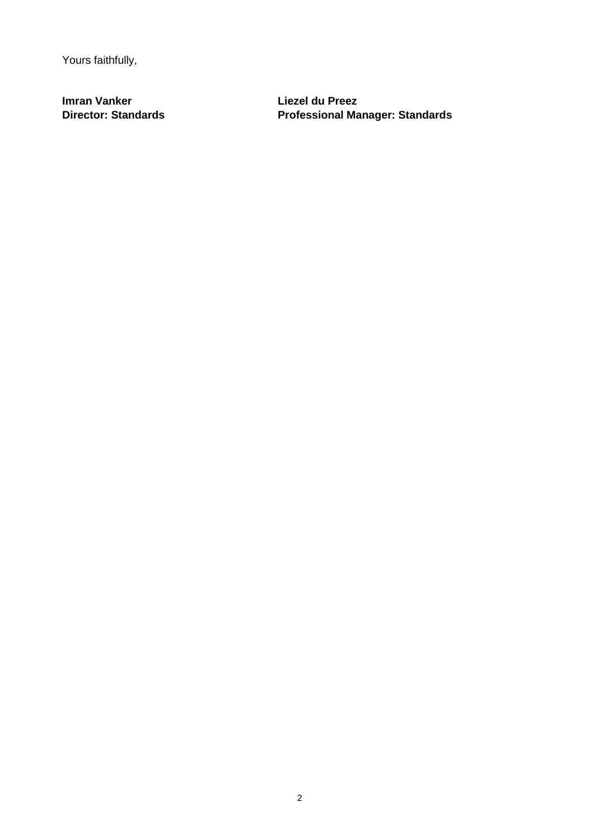Yours faithfully,

**Imran Vanker Liezel du Preez**

**Director: Standards Professional Manager: Standards**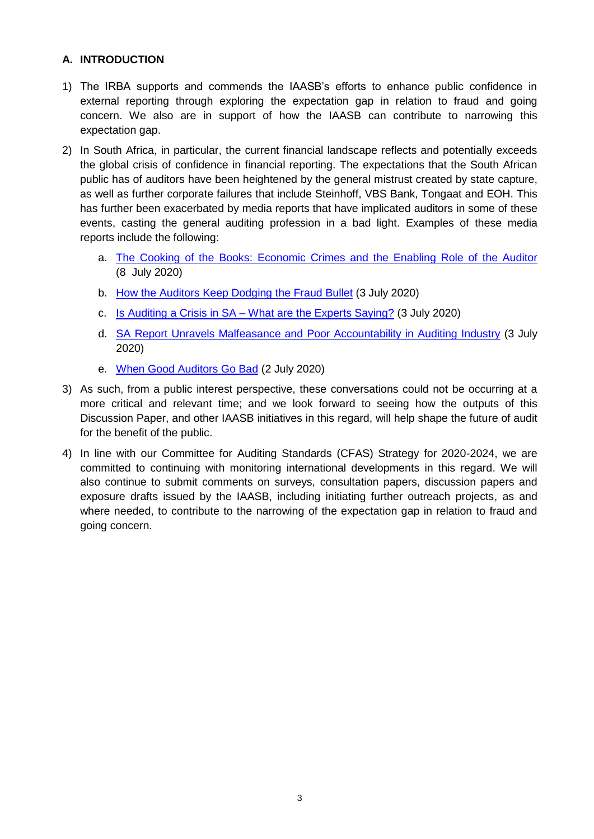## **A. INTRODUCTION**

- 1) The IRBA supports and commends the IAASB's efforts to enhance public confidence in external reporting through exploring the expectation gap in relation to fraud and going concern. We also are in support of how the IAASB can contribute to narrowing this expectation gap.
- 2) In South Africa, in particular, the current financial landscape reflects and potentially exceeds the global crisis of confidence in financial reporting. The expectations that the South African public has of auditors have been heightened by the general mistrust created by state capture, as well as further corporate failures that include Steinhoff, VBS Bank, Tongaat and EOH. This has further been exacerbated by media reports that have implicated auditors in some of these events, casting the general auditing profession in a bad light. Examples of these media reports include the following:
	- a. [The Cooking of the Books: Economic Crimes and the Enabling Role of the Auditor](https://www.opensecrets.org.za/the-cooking-of-the-books-economic-crimes-and-the-enabling-role-of-the-auditor/) (8 July 2020)
	- b. [How the Auditors Keep Dodging](https://www.opensecrets.org.za/how-the-auditors-keep-dodging-the-fraud-bullet/) the Fraud Bullet (3 July 2020)
	- c. [Is Auditing a Crisis in SA –](https://www.opensecrets.org.za/is-auditing-a-crisis-in-sa-what-are-the-experts-saying/) What are the Experts Saying? (3 July 2020)
	- d. SA [Report Unravels Malfeasance and Poor Accountability in Auditing Industry](https://www.opensecrets.org.za/sa-report-unravels-malfeasance-and-poor-accountability-in-auditing-industry/) (3 July 2020)
	- e. [When Good Auditors Go Bad](https://www.opensecrets.org.za/when-good-auditors-go-bad/) (2 July 2020)
- 3) As such, from a public interest perspective, these conversations could not be occurring at a more critical and relevant time; and we look forward to seeing how the outputs of this Discussion Paper, and other IAASB initiatives in this regard, will help shape the future of audit for the benefit of the public.
- 4) In line with our Committee for Auditing Standards (CFAS) Strategy for 2020-2024, we are committed to continuing with monitoring international developments in this regard. We will also continue to submit comments on surveys, consultation papers, discussion papers and exposure drafts issued by the IAASB, including initiating further outreach projects, as and where needed, to contribute to the narrowing of the expectation gap in relation to fraud and going concern.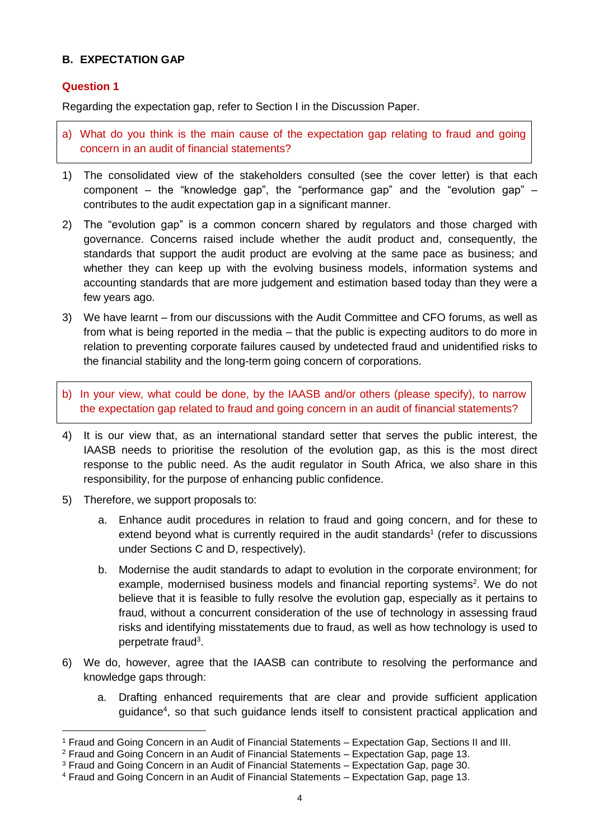## **B. EXPECTATION GAP**

### **Question 1**

Regarding the expectation gap, refer to Section I in the Discussion Paper.

- a) What do you think is the main cause of the expectation gap relating to fraud and going concern in an audit of financial statements?
- 1) The consolidated view of the stakeholders consulted (see the cover letter) is that each component – the "knowledge gap", the "performance gap" and the "evolution gap" – contributes to the audit expectation gap in a significant manner.
- 2) The "evolution gap" is a common concern shared by regulators and those charged with governance. Concerns raised include whether the audit product and, consequently, the standards that support the audit product are evolving at the same pace as business; and whether they can keep up with the evolving business models, information systems and accounting standards that are more judgement and estimation based today than they were a few years ago.
- 3) We have learnt from our discussions with the Audit Committee and CFO forums, as well as from what is being reported in the media – that the public is expecting auditors to do more in relation to preventing corporate failures caused by undetected fraud and unidentified risks to the financial stability and the long-term going concern of corporations.
- b) In your view, what could be done, by the IAASB and/or others (please specify), to narrow the expectation gap related to fraud and going concern in an audit of financial statements?
- 4) It is our view that, as an international standard setter that serves the public interest, the IAASB needs to prioritise the resolution of the evolution gap, as this is the most direct response to the public need. As the audit regulator in South Africa, we also share in this responsibility, for the purpose of enhancing public confidence.
- 5) Therefore, we support proposals to:

- a. Enhance audit procedures in relation to fraud and going concern, and for these to extend beyond what is currently required in the audit standards<sup>1</sup> (refer to discussions under Sections C and D, respectively).
- b. Modernise the audit standards to adapt to evolution in the corporate environment; for example, modernised business models and financial reporting systems<sup>2</sup>. We do not believe that it is feasible to fully resolve the evolution gap, especially as it pertains to fraud, without a concurrent consideration of the use of technology in assessing fraud risks and identifying misstatements due to fraud, as well as how technology is used to perpetrate fraud<sup>3</sup>.
- 6) We do, however, agree that the IAASB can contribute to resolving the performance and knowledge gaps through:
	- a. Drafting enhanced requirements that are clear and provide sufficient application guidance<sup>4</sup>, so that such guidance lends itself to consistent practical application and

<sup>1</sup> Fraud and Going Concern in an Audit of Financial Statements – Expectation Gap, Sections II and III.

<sup>2</sup> Fraud and Going Concern in an Audit of Financial Statements – Expectation Gap, page 13.

<sup>3</sup> Fraud and Going Concern in an Audit of Financial Statements – Expectation Gap, page 30.

<sup>4</sup> Fraud and Going Concern in an Audit of Financial Statements – Expectation Gap, page 13.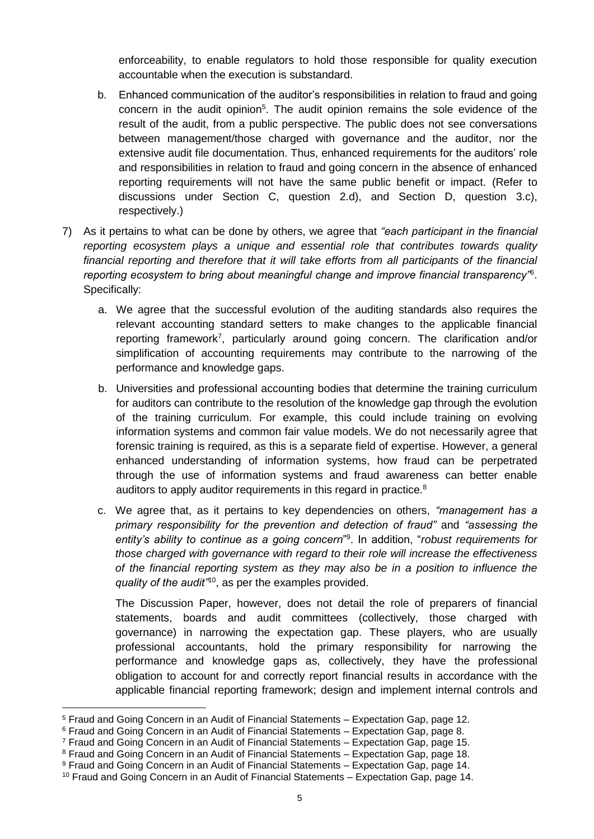enforceability, to enable regulators to hold those responsible for quality execution accountable when the execution is substandard.

- b. Enhanced communication of the auditor's responsibilities in relation to fraud and going concern in the audit opinion<sup>5</sup>. The audit opinion remains the sole evidence of the result of the audit, from a public perspective. The public does not see conversations between management/those charged with governance and the auditor, nor the extensive audit file documentation. Thus, enhanced requirements for the auditors' role and responsibilities in relation to fraud and going concern in the absence of enhanced reporting requirements will not have the same public benefit or impact. (Refer to discussions under Section C, question 2.d), and Section D, question 3.c), respectively.)
- 7) As it pertains to what can be done by others, we agree that *"each participant in the financial reporting ecosystem plays a unique and essential role that contributes towards quality financial reporting and therefore that it will take efforts from all participants of the financial reporting ecosystem to bring about meaningful change and improve financial transparency"*<sup>6</sup> . Specifically:
	- a. We agree that the successful evolution of the auditing standards also requires the relevant accounting standard setters to make changes to the applicable financial reporting framework<sup>7</sup>, particularly around going concern. The clarification and/or simplification of accounting requirements may contribute to the narrowing of the performance and knowledge gaps.
	- b. Universities and professional accounting bodies that determine the training curriculum for auditors can contribute to the resolution of the knowledge gap through the evolution of the training curriculum. For example, this could include training on evolving information systems and common fair value models. We do not necessarily agree that forensic training is required, as this is a separate field of expertise. However, a general enhanced understanding of information systems, how fraud can be perpetrated through the use of information systems and fraud awareness can better enable auditors to apply auditor requirements in this regard in practice.<sup>8</sup>
	- c. We agree that, as it pertains to key dependencies on others, *"management has a primary responsibility for the prevention and detection of fraud"* and *"assessing the entity's ability to continue as a going concern*" 9 . In addition, "*robust requirements for those charged with governance with regard to their role will increase the effectiveness of the financial reporting system as they may also be in a position to influence the quality of the audit"*<sup>10</sup> , as per the examples provided.

The Discussion Paper, however, does not detail the role of preparers of financial statements, boards and audit committees (collectively, those charged with governance) in narrowing the expectation gap. These players, who are usually professional accountants, hold the primary responsibility for narrowing the performance and knowledge gaps as, collectively, they have the professional obligation to account for and correctly report financial results in accordance with the applicable financial reporting framework; design and implement internal controls and

- <sup>7</sup> Fraud and Going Concern in an Audit of Financial Statements Expectation Gap, page 15.
- <sup>8</sup> Fraud and Going Concern in an Audit of Financial Statements Expectation Gap, page 18.

<sup>5</sup> Fraud and Going Concern in an Audit of Financial Statements – Expectation Gap, page 12.

<sup>6</sup> Fraud and Going Concern in an Audit of Financial Statements – Expectation Gap, page 8.

<sup>9</sup> Fraud and Going Concern in an Audit of Financial Statements – Expectation Gap, page 14.

<sup>&</sup>lt;sup>10</sup> Fraud and Going Concern in an Audit of Financial Statements – Expectation Gap, page 14.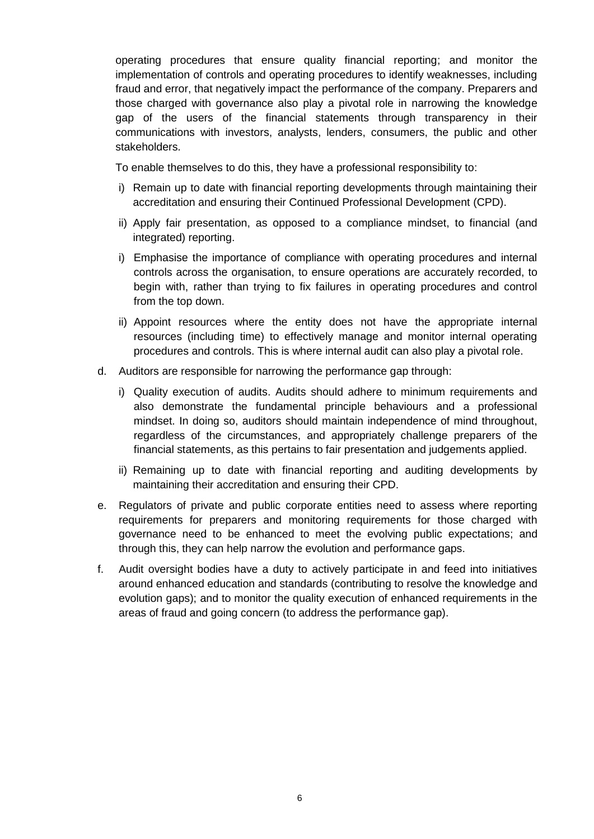operating procedures that ensure quality financial reporting; and monitor the implementation of controls and operating procedures to identify weaknesses, including fraud and error, that negatively impact the performance of the company. Preparers and those charged with governance also play a pivotal role in narrowing the knowledge gap of the users of the financial statements through transparency in their communications with investors, analysts, lenders, consumers, the public and other stakeholders.

To enable themselves to do this, they have a professional responsibility to:

- i) Remain up to date with financial reporting developments through maintaining their accreditation and ensuring their Continued Professional Development (CPD).
- ii) Apply fair presentation, as opposed to a compliance mindset, to financial (and integrated) reporting.
- i) Emphasise the importance of compliance with operating procedures and internal controls across the organisation, to ensure operations are accurately recorded, to begin with, rather than trying to fix failures in operating procedures and control from the top down.
- ii) Appoint resources where the entity does not have the appropriate internal resources (including time) to effectively manage and monitor internal operating procedures and controls. This is where internal audit can also play a pivotal role.
- d. Auditors are responsible for narrowing the performance gap through:
	- i) Quality execution of audits. Audits should adhere to minimum requirements and also demonstrate the fundamental principle behaviours and a professional mindset. In doing so, auditors should maintain independence of mind throughout, regardless of the circumstances, and appropriately challenge preparers of the financial statements, as this pertains to fair presentation and judgements applied.
	- ii) Remaining up to date with financial reporting and auditing developments by maintaining their accreditation and ensuring their CPD.
- e. Regulators of private and public corporate entities need to assess where reporting requirements for preparers and monitoring requirements for those charged with governance need to be enhanced to meet the evolving public expectations; and through this, they can help narrow the evolution and performance gaps.
- f. Audit oversight bodies have a duty to actively participate in and feed into initiatives around enhanced education and standards (contributing to resolve the knowledge and evolution gaps); and to monitor the quality execution of enhanced requirements in the areas of fraud and going concern (to address the performance gap).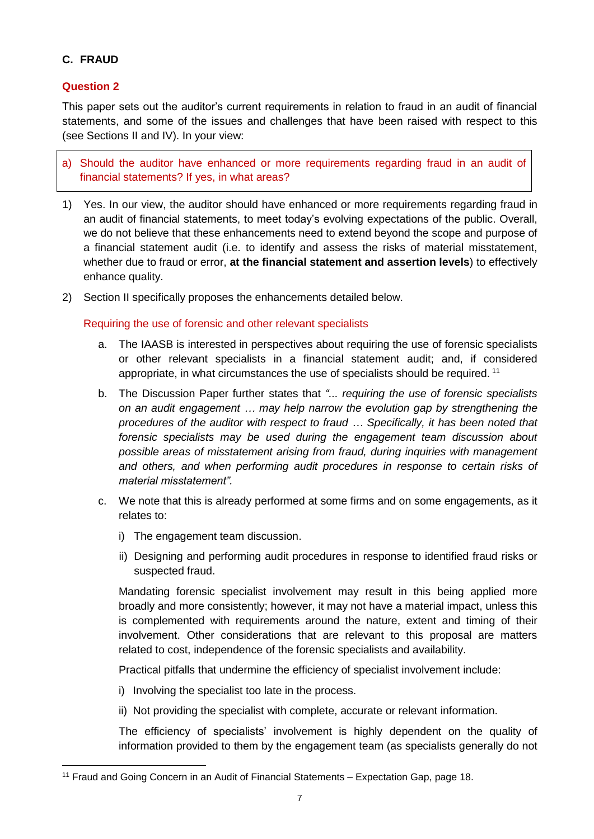# **C. FRAUD**

### **Question 2**

 $\overline{a}$ 

This paper sets out the auditor's current requirements in relation to fraud in an audit of financial statements, and some of the issues and challenges that have been raised with respect to this (see Sections II and IV). In your view:

a) Should the auditor have enhanced or more requirements regarding fraud in an audit of financial statements? If yes, in what areas?

- 1) Yes. In our view, the auditor should have enhanced or more requirements regarding fraud in an audit of financial statements, to meet today's evolving expectations of the public. Overall, we do not believe that these enhancements need to extend beyond the scope and purpose of a financial statement audit (i.e. to identify and assess the risks of material misstatement, whether due to fraud or error, **at the financial statement and assertion levels**) to effectively enhance quality.
- 2) Section II specifically proposes the enhancements detailed below.

#### Requiring the use of forensic and other relevant specialists

- a. The IAASB is interested in perspectives about requiring the use of forensic specialists or other relevant specialists in a financial statement audit; and, if considered appropriate, in what circumstances the use of specialists should be required. <sup>11</sup>
- b. The Discussion Paper further states that *"... requiring the use of forensic specialists on an audit engagement … may help narrow the evolution gap by strengthening the procedures of the auditor with respect to fraud … Specifically, it has been noted that forensic specialists may be used during the engagement team discussion about possible areas of misstatement arising from fraud, during inquiries with management and others, and when performing audit procedures in response to certain risks of material misstatement".*
- c. We note that this is already performed at some firms and on some engagements, as it relates to:
	- i) The engagement team discussion.
	- ii) Designing and performing audit procedures in response to identified fraud risks or suspected fraud.

Mandating forensic specialist involvement may result in this being applied more broadly and more consistently; however, it may not have a material impact, unless this is complemented with requirements around the nature, extent and timing of their involvement. Other considerations that are relevant to this proposal are matters related to cost, independence of the forensic specialists and availability.

Practical pitfalls that undermine the efficiency of specialist involvement include:

- i) Involving the specialist too late in the process.
- ii) Not providing the specialist with complete, accurate or relevant information.

The efficiency of specialists' involvement is highly dependent on the quality of information provided to them by the engagement team (as specialists generally do not

<sup>11</sup> Fraud and Going Concern in an Audit of Financial Statements – Expectation Gap, page 18.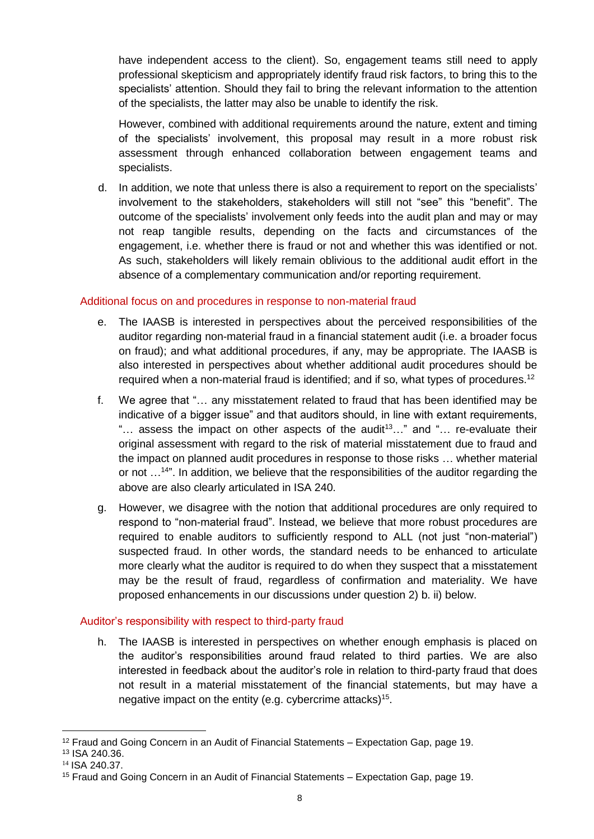have independent access to the client). So, engagement teams still need to apply professional skepticism and appropriately identify fraud risk factors, to bring this to the specialists' attention. Should they fail to bring the relevant information to the attention of the specialists, the latter may also be unable to identify the risk.

However, combined with additional requirements around the nature, extent and timing of the specialists' involvement, this proposal may result in a more robust risk assessment through enhanced collaboration between engagement teams and specialists.

d. In addition, we note that unless there is also a requirement to report on the specialists' involvement to the stakeholders, stakeholders will still not "see" this "benefit". The outcome of the specialists' involvement only feeds into the audit plan and may or may not reap tangible results, depending on the facts and circumstances of the engagement, i.e. whether there is fraud or not and whether this was identified or not. As such, stakeholders will likely remain oblivious to the additional audit effort in the absence of a complementary communication and/or reporting requirement.

### Additional focus on and procedures in response to non-material fraud

- e. The IAASB is interested in perspectives about the perceived responsibilities of the auditor regarding non-material fraud in a financial statement audit (i.e. a broader focus on fraud); and what additional procedures, if any, may be appropriate. The IAASB is also interested in perspectives about whether additional audit procedures should be required when a non-material fraud is identified; and if so, what types of procedures.<sup>12</sup>
- f. We agree that "… any misstatement related to fraud that has been identified may be indicative of a bigger issue" and that auditors should, in line with extant requirements, " $\ldots$  assess the impact on other aspects of the audit<sup>13</sup>..." and " $\ldots$  re-evaluate their original assessment with regard to the risk of material misstatement due to fraud and the impact on planned audit procedures in response to those risks … whether material or not ...<sup>14"</sup>. In addition, we believe that the responsibilities of the auditor regarding the above are also clearly articulated in ISA 240.
- g. However, we disagree with the notion that additional procedures are only required to respond to "non-material fraud". Instead, we believe that more robust procedures are required to enable auditors to sufficiently respond to ALL (not just "non-material") suspected fraud. In other words, the standard needs to be enhanced to articulate more clearly what the auditor is required to do when they suspect that a misstatement may be the result of fraud, regardless of confirmation and materiality. We have proposed enhancements in our discussions under question 2) b. ii) below.

### Auditor's responsibility with respect to third-party fraud

h. The IAASB is interested in perspectives on whether enough emphasis is placed on the auditor's responsibilities around fraud related to third parties. We are also interested in feedback about the auditor's role in relation to third-party fraud that does not result in a material misstatement of the financial statements, but may have a negative impact on the entity (e.g. cybercrime attacks)<sup>15</sup>.

 $\overline{a}$ <sup>12</sup> Fraud and Going Concern in an Audit of Financial Statements – Expectation Gap, page 19.

<sup>13</sup> ISA 240.36.

<sup>14</sup> ISA 240.37.

<sup>15</sup> Fraud and Going Concern in an Audit of Financial Statements – Expectation Gap, page 19.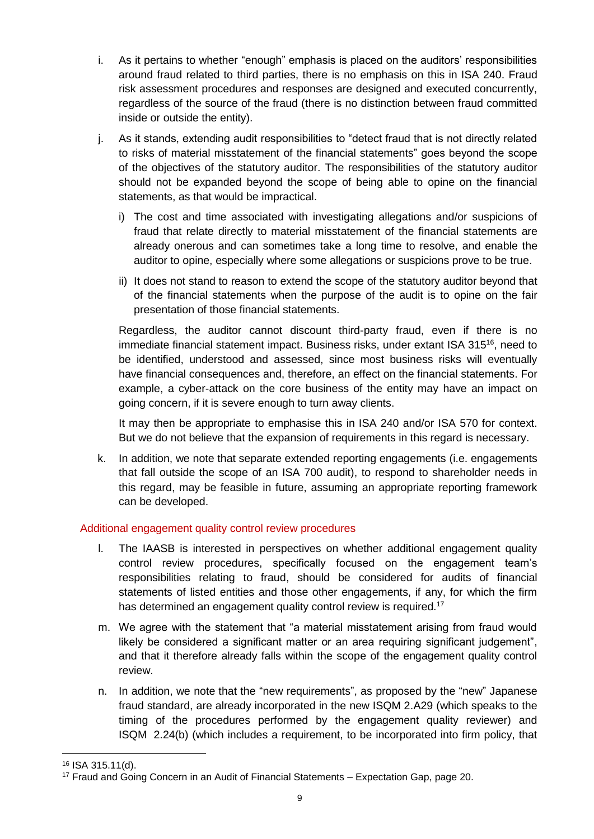- i. As it pertains to whether "enough" emphasis is placed on the auditors' responsibilities around fraud related to third parties, there is no emphasis on this in ISA 240. Fraud risk assessment procedures and responses are designed and executed concurrently, regardless of the source of the fraud (there is no distinction between fraud committed inside or outside the entity).
- j. As it stands, extending audit responsibilities to "detect fraud that is not directly related to risks of material misstatement of the financial statements" goes beyond the scope of the objectives of the statutory auditor. The responsibilities of the statutory auditor should not be expanded beyond the scope of being able to opine on the financial statements, as that would be impractical.
	- i) The cost and time associated with investigating allegations and/or suspicions of fraud that relate directly to material misstatement of the financial statements are already onerous and can sometimes take a long time to resolve, and enable the auditor to opine, especially where some allegations or suspicions prove to be true.
	- ii) It does not stand to reason to extend the scope of the statutory auditor beyond that of the financial statements when the purpose of the audit is to opine on the fair presentation of those financial statements.

Regardless, the auditor cannot discount third-party fraud, even if there is no immediate financial statement impact. Business risks, under extant ISA 315<sup>16</sup>, need to be identified, understood and assessed, since most business risks will eventually have financial consequences and, therefore, an effect on the financial statements. For example, a cyber-attack on the core business of the entity may have an impact on going concern, if it is severe enough to turn away clients.

It may then be appropriate to emphasise this in ISA 240 and/or ISA 570 for context. But we do not believe that the expansion of requirements in this regard is necessary.

k. In addition, we note that separate extended reporting engagements (i.e. engagements that fall outside the scope of an ISA 700 audit), to respond to shareholder needs in this regard, may be feasible in future, assuming an appropriate reporting framework can be developed.

### Additional engagement quality control review procedures

- l. The IAASB is interested in perspectives on whether additional engagement quality control review procedures, specifically focused on the engagement team's responsibilities relating to fraud, should be considered for audits of financial statements of listed entities and those other engagements, if any, for which the firm has determined an engagement quality control review is required.<sup>17</sup>
- m. We agree with the statement that "a material misstatement arising from fraud would likely be considered a significant matter or an area requiring significant judgement", and that it therefore already falls within the scope of the engagement quality control review.
- n. In addition, we note that the "new requirements", as proposed by the "new" Japanese fraud standard, are already incorporated in the new ISQM 2.A29 (which speaks to the timing of the procedures performed by the engagement quality reviewer) and ISQM 2.24(b) (which includes a requirement, to be incorporated into firm policy, that

<sup>16</sup> ISA 315.11(d).

<sup>17</sup> Fraud and Going Concern in an Audit of Financial Statements – Expectation Gap, page 20.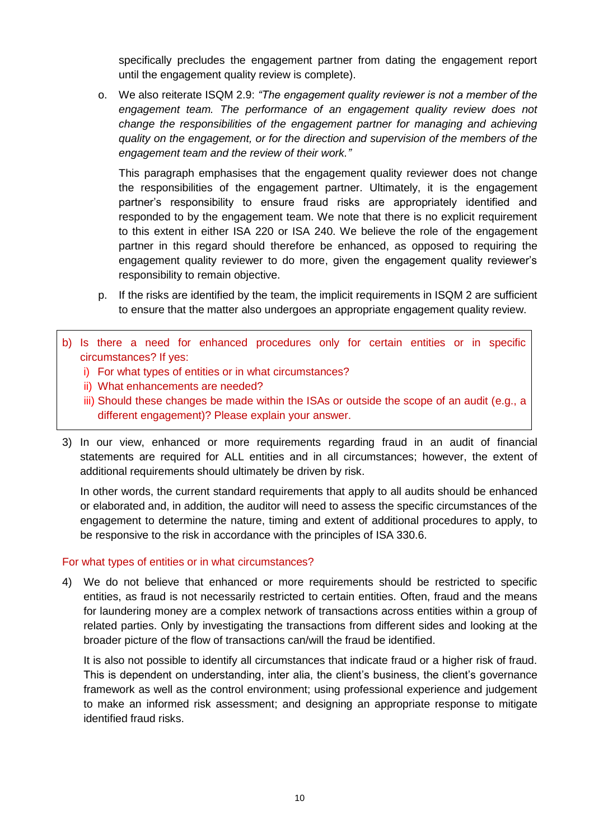specifically precludes the engagement partner from dating the engagement report until the engagement quality review is complete).

o. We also reiterate ISQM 2.9: *"The engagement quality reviewer is not a member of the*  engagement team. The performance of an engagement quality review does not *change the responsibilities of the engagement partner for managing and achieving quality on the engagement, or for the direction and supervision of the members of the engagement team and the review of their work."*

This paragraph emphasises that the engagement quality reviewer does not change the responsibilities of the engagement partner. Ultimately, it is the engagement partner's responsibility to ensure fraud risks are appropriately identified and responded to by the engagement team. We note that there is no explicit requirement to this extent in either ISA 220 or ISA 240. We believe the role of the engagement partner in this regard should therefore be enhanced, as opposed to requiring the engagement quality reviewer to do more, given the engagement quality reviewer's responsibility to remain objective.

- p. If the risks are identified by the team, the implicit requirements in ISQM 2 are sufficient to ensure that the matter also undergoes an appropriate engagement quality review.
- b) Is there a need for enhanced procedures only for certain entities or in specific circumstances? If yes:
	- i) For what types of entities or in what circumstances?
	- ii) What enhancements are needed?
	- iii) Should these changes be made within the ISAs or outside the scope of an audit (e.g., a different engagement)? Please explain your answer.
- 3) In our view, enhanced or more requirements regarding fraud in an audit of financial statements are required for ALL entities and in all circumstances; however, the extent of additional requirements should ultimately be driven by risk.

In other words, the current standard requirements that apply to all audits should be enhanced or elaborated and, in addition, the auditor will need to assess the specific circumstances of the engagement to determine the nature, timing and extent of additional procedures to apply, to be responsive to the risk in accordance with the principles of ISA 330.6.

### For what types of entities or in what circumstances?

4) We do not believe that enhanced or more requirements should be restricted to specific entities, as fraud is not necessarily restricted to certain entities. Often, fraud and the means for laundering money are a complex network of transactions across entities within a group of related parties. Only by investigating the transactions from different sides and looking at the broader picture of the flow of transactions can/will the fraud be identified.

It is also not possible to identify all circumstances that indicate fraud or a higher risk of fraud. This is dependent on understanding, inter alia, the client's business, the client's governance framework as well as the control environment; using professional experience and judgement to make an informed risk assessment; and designing an appropriate response to mitigate identified fraud risks.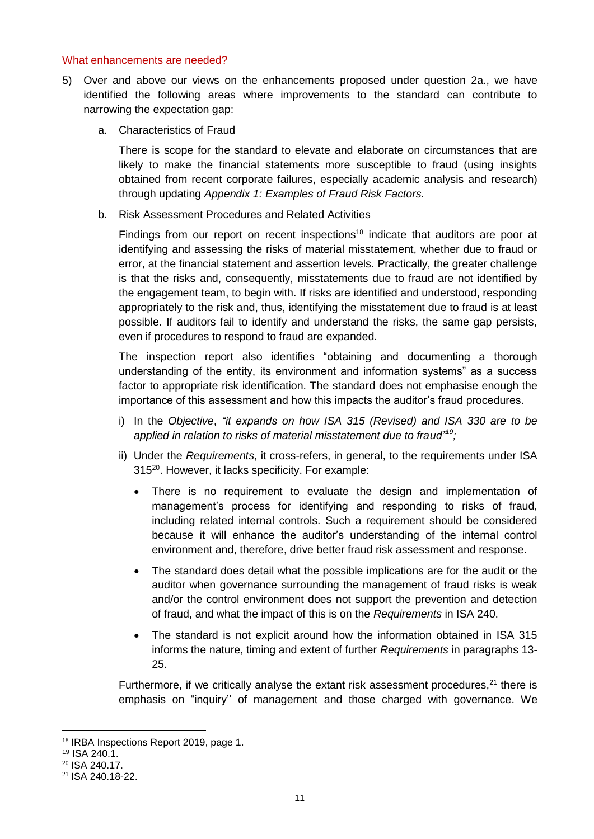#### What enhancements are needed?

- 5) Over and above our views on the enhancements proposed under question 2a., we have identified the following areas where improvements to the standard can contribute to narrowing the expectation gap:
	- a. Characteristics of Fraud

There is scope for the standard to elevate and elaborate on circumstances that are likely to make the financial statements more susceptible to fraud (using insights obtained from recent corporate failures, especially academic analysis and research) through updating *Appendix 1: Examples of Fraud Risk Factors.*

b. Risk Assessment Procedures and Related Activities

Findings from our report on recent inspections<sup>18</sup> indicate that auditors are poor at identifying and assessing the risks of material misstatement, whether due to fraud or error, at the financial statement and assertion levels. Practically, the greater challenge is that the risks and, consequently, misstatements due to fraud are not identified by the engagement team, to begin with. If risks are identified and understood, responding appropriately to the risk and, thus, identifying the misstatement due to fraud is at least possible. If auditors fail to identify and understand the risks, the same gap persists, even if procedures to respond to fraud are expanded.

The inspection report also identifies "obtaining and documenting a thorough understanding of the entity, its environment and information systems" as a success factor to appropriate risk identification. The standard does not emphasise enough the importance of this assessment and how this impacts the auditor's fraud procedures.

- i) In the *Objective*, *"it expands on how ISA 315 (Revised) and ISA 330 are to be applied in relation to risks of material misstatement due to fraud"<sup>19</sup>;*
- ii) Under the *Requirements*, it cross-refers, in general, to the requirements under ISA 315<sup>20</sup>. However, it lacks specificity. For example:
	- There is no requirement to evaluate the design and implementation of management's process for identifying and responding to risks of fraud, including related internal controls. Such a requirement should be considered because it will enhance the auditor's understanding of the internal control environment and, therefore, drive better fraud risk assessment and response.
	- The standard does detail what the possible implications are for the audit or the auditor when governance surrounding the management of fraud risks is weak and/or the control environment does not support the prevention and detection of fraud, and what the impact of this is on the *Requirements* in ISA 240.
	- The standard is not explicit around how the information obtained in ISA 315 informs the nature, timing and extent of further *Requirements* in paragraphs 13- 25.

Furthermore, if we critically analyse the extant risk assessment procedures, $2<sup>1</sup>$  there is emphasis on "inquiry'' of management and those charged with governance. We

<sup>18</sup> IRBA Inspections Report 2019, page 1.

<sup>19</sup> ISA 240.1.

<sup>20</sup> ISA 240.17.

<sup>21</sup> ISA 240.18-22.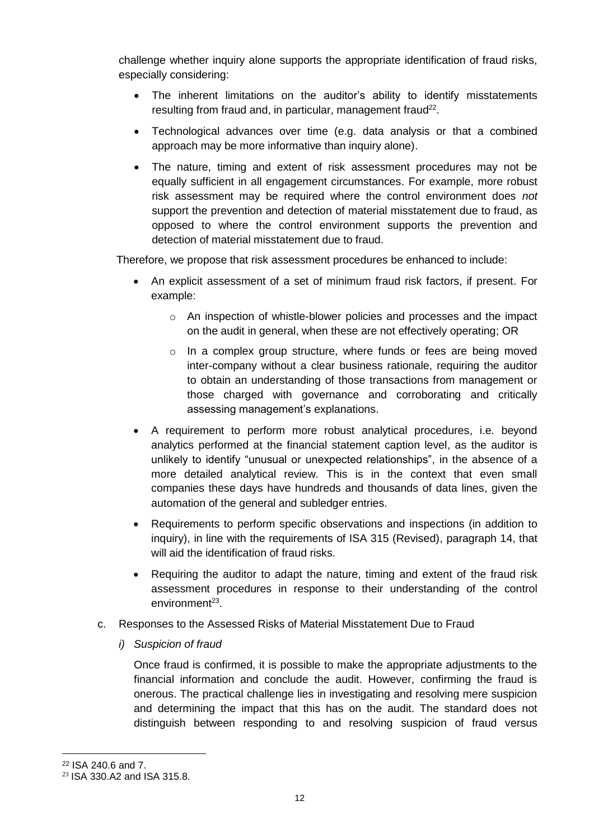challenge whether inquiry alone supports the appropriate identification of fraud risks, especially considering:

- The inherent limitations on the auditor's ability to identify misstatements resulting from fraud and, in particular, management fraud<sup>22</sup>.
- Technological advances over time (e.g. data analysis or that a combined approach may be more informative than inquiry alone).
- The nature, timing and extent of risk assessment procedures may not be equally sufficient in all engagement circumstances. For example, more robust risk assessment may be required where the control environment does *not* support the prevention and detection of material misstatement due to fraud, as opposed to where the control environment supports the prevention and detection of material misstatement due to fraud.

Therefore, we propose that risk assessment procedures be enhanced to include:

- An explicit assessment of a set of minimum fraud risk factors, if present. For example:
	- $\circ$  An inspection of whistle-blower policies and processes and the impact on the audit in general, when these are not effectively operating; OR
	- o In a complex group structure, where funds or fees are being moved inter-company without a clear business rationale, requiring the auditor to obtain an understanding of those transactions from management or those charged with governance and corroborating and critically assessing management's explanations.
- A requirement to perform more robust analytical procedures, i.e. beyond analytics performed at the financial statement caption level, as the auditor is unlikely to identify "unusual or unexpected relationships", in the absence of a more detailed analytical review. This is in the context that even small companies these days have hundreds and thousands of data lines, given the automation of the general and subledger entries.
- Requirements to perform specific observations and inspections (in addition to inquiry), in line with the requirements of ISA 315 (Revised), paragraph 14, that will aid the identification of fraud risks.
- Requiring the auditor to adapt the nature, timing and extent of the fraud risk assessment procedures in response to their understanding of the control environment<sup>23</sup>.
- c. Responses to the Assessed Risks of Material Misstatement Due to Fraud
	- *i) Suspicion of fraud*

Once fraud is confirmed, it is possible to make the appropriate adjustments to the financial information and conclude the audit. However, confirming the fraud is onerous. The practical challenge lies in investigating and resolving mere suspicion and determining the impact that this has on the audit. The standard does not distinguish between responding to and resolving suspicion of fraud versus

<sup>22</sup> ISA 240.6 and 7.

<sup>23</sup> ISA 330.A2 and ISA 315.8.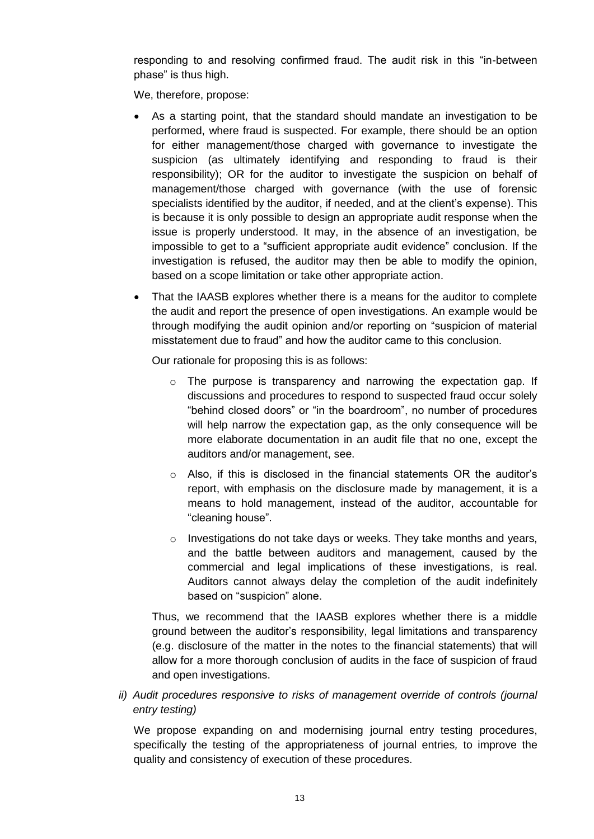responding to and resolving confirmed fraud. The audit risk in this "in-between phase" is thus high.

We, therefore, propose:

- As a starting point, that the standard should mandate an investigation to be performed, where fraud is suspected. For example, there should be an option for either management/those charged with governance to investigate the suspicion (as ultimately identifying and responding to fraud is their responsibility); OR for the auditor to investigate the suspicion on behalf of management/those charged with governance (with the use of forensic specialists identified by the auditor, if needed, and at the client's expense). This is because it is only possible to design an appropriate audit response when the issue is properly understood. It may, in the absence of an investigation, be impossible to get to a "sufficient appropriate audit evidence" conclusion. If the investigation is refused, the auditor may then be able to modify the opinion, based on a scope limitation or take other appropriate action.
- That the IAASB explores whether there is a means for the auditor to complete the audit and report the presence of open investigations. An example would be through modifying the audit opinion and/or reporting on "suspicion of material misstatement due to fraud" and how the auditor came to this conclusion.

Our rationale for proposing this is as follows:

- o The purpose is transparency and narrowing the expectation gap. If discussions and procedures to respond to suspected fraud occur solely "behind closed doors" or "in the boardroom", no number of procedures will help narrow the expectation gap, as the only consequence will be more elaborate documentation in an audit file that no one, except the auditors and/or management, see.
- o Also, if this is disclosed in the financial statements OR the auditor's report, with emphasis on the disclosure made by management, it is a means to hold management, instead of the auditor, accountable for "cleaning house".
- $\circ$  Investigations do not take days or weeks. They take months and years, and the battle between auditors and management, caused by the commercial and legal implications of these investigations, is real. Auditors cannot always delay the completion of the audit indefinitely based on "suspicion" alone.

Thus, we recommend that the IAASB explores whether there is a middle ground between the auditor's responsibility, legal limitations and transparency (e.g. disclosure of the matter in the notes to the financial statements) that will allow for a more thorough conclusion of audits in the face of suspicion of fraud and open investigations.

*ii*) *Audit procedures responsive to risks of management override of controls (journal entry testing)*

We propose expanding on and modernising journal entry testing procedures, specifically the testing of the appropriateness of journal entries*,* to improve the quality and consistency of execution of these procedures.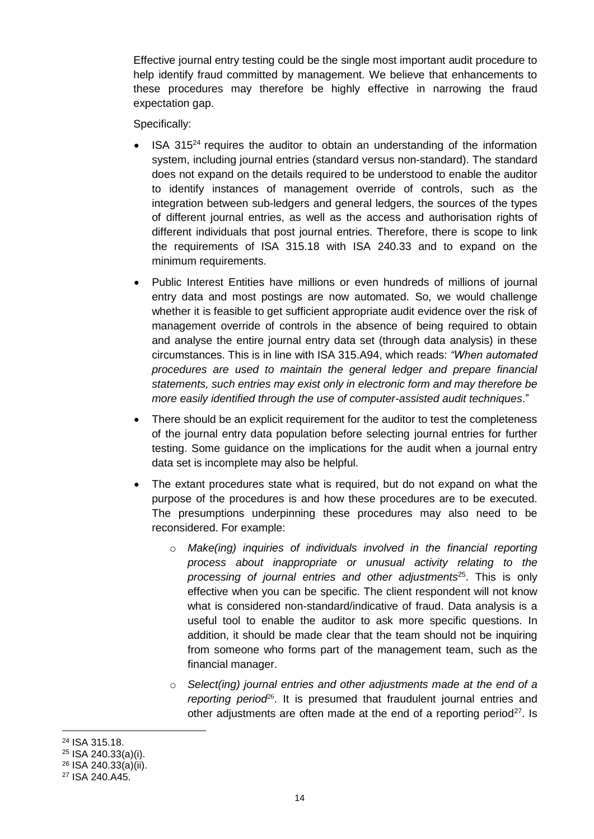Effective journal entry testing could be the single most important audit procedure to help identify fraud committed by management. We believe that enhancements to these procedures may therefore be highly effective in narrowing the fraud expectation gap.

Specifically:

- ISA  $315<sup>24</sup>$  requires the auditor to obtain an understanding of the information system, including journal entries (standard versus non-standard). The standard does not expand on the details required to be understood to enable the auditor to identify instances of management override of controls, such as the integration between sub-ledgers and general ledgers, the sources of the types of different journal entries, as well as the access and authorisation rights of different individuals that post journal entries. Therefore, there is scope to link the requirements of ISA 315.18 with ISA 240.33 and to expand on the minimum requirements.
- Public Interest Entities have millions or even hundreds of millions of journal entry data and most postings are now automated. So, we would challenge whether it is feasible to get sufficient appropriate audit evidence over the risk of management override of controls in the absence of being required to obtain and analyse the entire journal entry data set (through data analysis) in these circumstances. This is in line with ISA 315.A94, which reads: *"When automated procedures are used to maintain the general ledger and prepare financial statements, such entries may exist only in electronic form and may therefore be more easily identified through the use of computer-assisted audit techniques*."
- There should be an explicit requirement for the auditor to test the completeness of the journal entry data population before selecting journal entries for further testing. Some guidance on the implications for the audit when a journal entry data set is incomplete may also be helpful.
- The extant procedures state what is required, but do not expand on what the purpose of the procedures is and how these procedures are to be executed. The presumptions underpinning these procedures may also need to be reconsidered. For example:
	- o *Make(ing) inquiries of individuals involved in the financial reporting process about inappropriate or unusual activity relating to the processing of journal entries and other adjustments*<sup>25</sup>. This is only effective when you can be specific. The client respondent will not know what is considered non-standard/indicative of fraud. Data analysis is a useful tool to enable the auditor to ask more specific questions. In addition, it should be made clear that the team should not be inquiring from someone who forms part of the management team, such as the financial manager.
	- o *Select(ing) journal entries and other adjustments made at the end of a*  reporting period<sup>26</sup>. It is presumed that fraudulent journal entries and other adjustments are often made at the end of a reporting period<sup>27</sup>. Is

 $\overline{a}$ <sup>24</sup> ISA 315.18.

<sup>25</sup> ISA 240.33(a)(i).

<sup>26</sup> ISA 240.33(a)(ii).

<sup>27</sup> ISA 240.A45.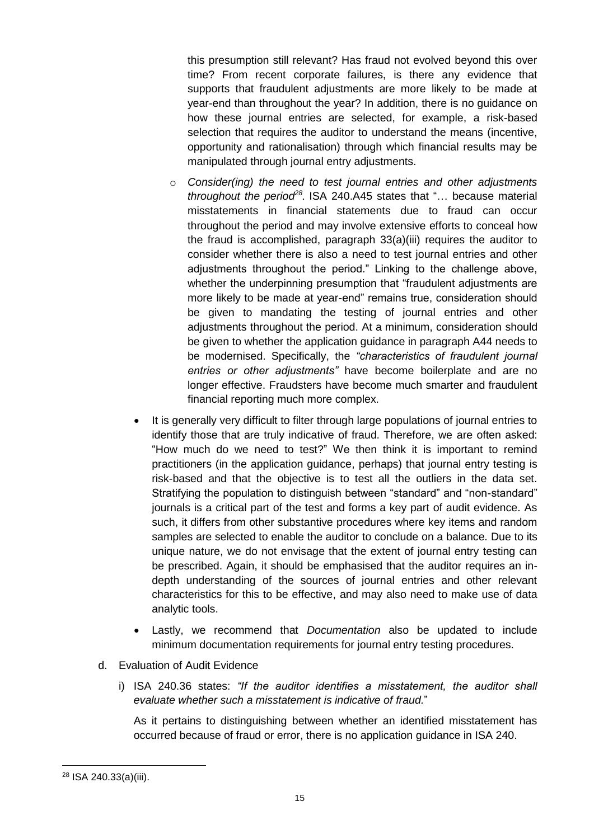this presumption still relevant? Has fraud not evolved beyond this over time? From recent corporate failures, is there any evidence that supports that fraudulent adjustments are more likely to be made at year-end than throughout the year? In addition, there is no guidance on how these journal entries are selected, for example, a risk-based selection that requires the auditor to understand the means (incentive, opportunity and rationalisation) through which financial results may be manipulated through journal entry adjustments.

- o *Consider(ing) the need to test journal entries and other adjustments throughout the period<sup>28</sup> .* ISA 240.A45 states that "… because material misstatements in financial statements due to fraud can occur throughout the period and may involve extensive efforts to conceal how the fraud is accomplished, paragraph 33(a)(iii) requires the auditor to consider whether there is also a need to test journal entries and other adjustments throughout the period." Linking to the challenge above, whether the underpinning presumption that "fraudulent adjustments are more likely to be made at year-end" remains true, consideration should be given to mandating the testing of journal entries and other adjustments throughout the period. At a minimum, consideration should be given to whether the application guidance in paragraph A44 needs to be modernised. Specifically, the *"characteristics of fraudulent journal entries or other adjustments"* have become boilerplate and are no longer effective. Fraudsters have become much smarter and fraudulent financial reporting much more complex.
- It is generally very difficult to filter through large populations of journal entries to identify those that are truly indicative of fraud. Therefore, we are often asked: "How much do we need to test?" We then think it is important to remind practitioners (in the application guidance, perhaps) that journal entry testing is risk-based and that the objective is to test all the outliers in the data set. Stratifying the population to distinguish between "standard" and "non-standard" journals is a critical part of the test and forms a key part of audit evidence. As such, it differs from other substantive procedures where key items and random samples are selected to enable the auditor to conclude on a balance. Due to its unique nature, we do not envisage that the extent of journal entry testing can be prescribed. Again, it should be emphasised that the auditor requires an indepth understanding of the sources of journal entries and other relevant characteristics for this to be effective, and may also need to make use of data analytic tools.
- Lastly, we recommend that *Documentation* also be updated to include minimum documentation requirements for journal entry testing procedures.
- d. Evaluation of Audit Evidence
	- i) ISA 240.36 states: *"If the auditor identifies a misstatement, the auditor shall evaluate whether such a misstatement is indicative of fraud.*"

As it pertains to distinguishing between whether an identified misstatement has occurred because of fraud or error, there is no application guidance in ISA 240.

<sup>28</sup> ISA 240.33(a)(iii).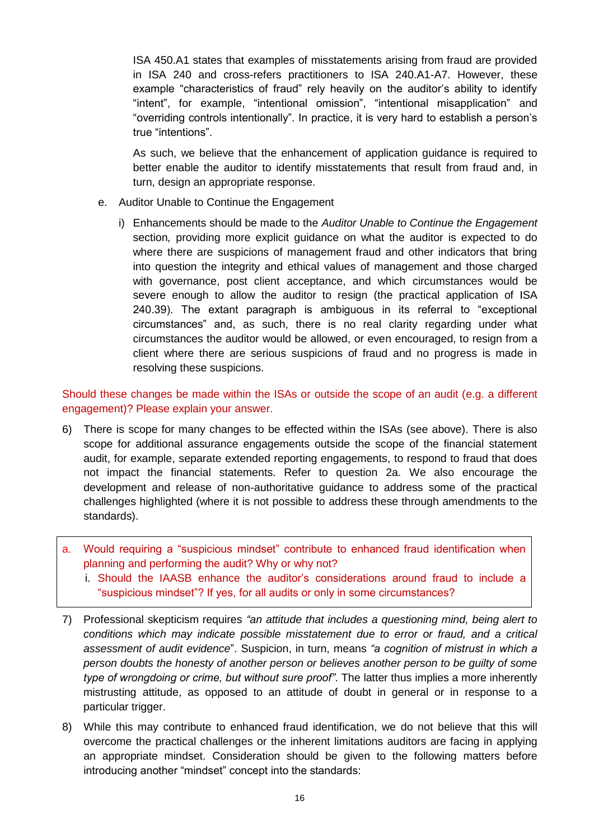ISA 450.A1 states that examples of misstatements arising from fraud are provided in ISA 240 and cross-refers practitioners to ISA 240.A1-A7. However, these example "characteristics of fraud" rely heavily on the auditor's ability to identify "intent", for example, "intentional omission", "intentional misapplication" and "overriding controls intentionally". In practice, it is very hard to establish a person's true "intentions".

As such, we believe that the enhancement of application guidance is required to better enable the auditor to identify misstatements that result from fraud and, in turn, design an appropriate response.

- e. Auditor Unable to Continue the Engagement
	- i) Enhancements should be made to the *Auditor Unable to Continue the Engagement*  section*,* providing more explicit guidance on what the auditor is expected to do where there are suspicions of management fraud and other indicators that bring into question the integrity and ethical values of management and those charged with governance, post client acceptance, and which circumstances would be severe enough to allow the auditor to resign (the practical application of ISA 240.39). The extant paragraph is ambiguous in its referral to "exceptional circumstances" and, as such, there is no real clarity regarding under what circumstances the auditor would be allowed, or even encouraged, to resign from a client where there are serious suspicions of fraud and no progress is made in resolving these suspicions.

Should these changes be made within the ISAs or outside the scope of an audit (e.g. a different engagement)? Please explain your answer.

- 6) There is scope for many changes to be effected within the ISAs (see above). There is also scope for additional assurance engagements outside the scope of the financial statement audit, for example, separate extended reporting engagements, to respond to fraud that does not impact the financial statements. Refer to question 2a. We also encourage the development and release of non-authoritative guidance to address some of the practical challenges highlighted (where it is not possible to address these through amendments to the standards).
- a. Would requiring a "suspicious mindset" contribute to enhanced fraud identification when planning and performing the audit? Why or why not?
	- i. Should the IAASB enhance the auditor's considerations around fraud to include a "suspicious mindset"? If yes, for all audits or only in some circumstances?
- 7) Professional skepticism requires *"an attitude that includes a questioning mind, being alert to conditions which may indicate possible misstatement due to error or fraud, and a critical assessment of audit evidence*". Suspicion, in turn, means *"a cognition of mistrust in which a person doubts the honesty of another person or believes another person to be guilty of some type of wrongdoing or crime, but without sure proof"*. The latter thus implies a more inherently mistrusting attitude, as opposed to an attitude of doubt in general or in response to a particular trigger.
- 8) While this may contribute to enhanced fraud identification, we do not believe that this will overcome the practical challenges or the inherent limitations auditors are facing in applying an appropriate mindset. Consideration should be given to the following matters before introducing another "mindset" concept into the standards: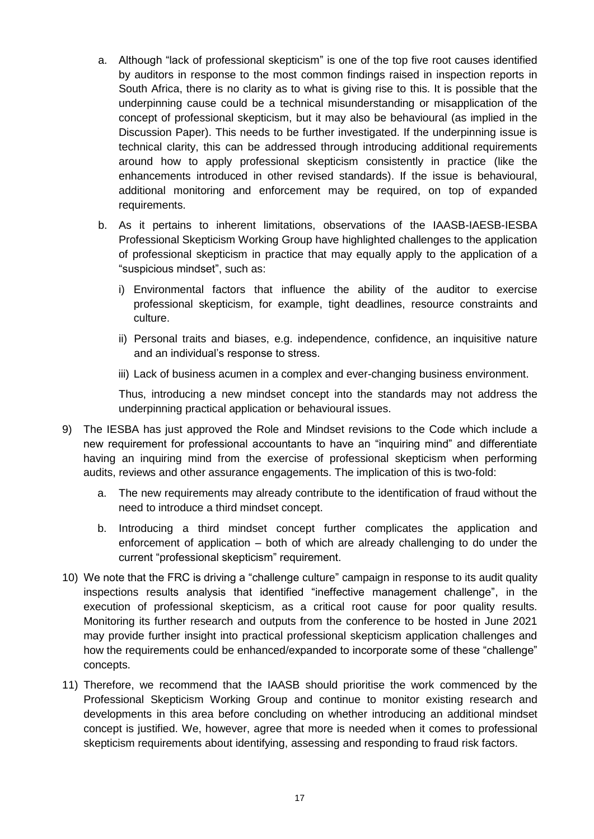- a. Although "lack of professional skepticism" is one of the top five root causes identified by auditors in response to the most common findings raised in inspection reports in South Africa, there is no clarity as to what is giving rise to this. It is possible that the underpinning cause could be a technical misunderstanding or misapplication of the concept of professional skepticism, but it may also be behavioural (as implied in the Discussion Paper). This needs to be further investigated. If the underpinning issue is technical clarity, this can be addressed through introducing additional requirements around how to apply professional skepticism consistently in practice (like the enhancements introduced in other revised standards). If the issue is behavioural, additional monitoring and enforcement may be required, on top of expanded requirements.
- b. As it pertains to inherent limitations, observations of the IAASB-IAESB-IESBA Professional Skepticism Working Group have highlighted challenges to the application of professional skepticism in practice that may equally apply to the application of a "suspicious mindset", such as:
	- i) Environmental factors that influence the ability of the auditor to exercise professional skepticism, for example, tight deadlines, resource constraints and culture.
	- ii) Personal traits and biases, e.g. independence, confidence, an inquisitive nature and an individual's response to stress.
	- iii) Lack of business acumen in a complex and ever-changing business environment.

Thus, introducing a new mindset concept into the standards may not address the underpinning practical application or behavioural issues.

- 9) The IESBA has just approved the Role and Mindset revisions to the Code which include a new requirement for professional accountants to have an "inquiring mind" and differentiate having an inquiring mind from the exercise of professional skepticism when performing audits, reviews and other assurance engagements. The implication of this is two-fold:
	- a. The new requirements may already contribute to the identification of fraud without the need to introduce a third mindset concept.
	- b. Introducing a third mindset concept further complicates the application and enforcement of application – both of which are already challenging to do under the current "professional skepticism" requirement.
- 10) We note that the FRC is driving a "challenge culture" campaign in response to its audit quality inspections results analysis that identified "ineffective management challenge", in the execution of professional skepticism, as a critical root cause for poor quality results. Monitoring its further research and outputs from the conference to be hosted in June 2021 may provide further insight into practical professional skepticism application challenges and how the requirements could be enhanced/expanded to incorporate some of these "challenge" concepts.
- 11) Therefore, we recommend that the IAASB should prioritise the work commenced by the Professional Skepticism Working Group and continue to monitor existing research and developments in this area before concluding on whether introducing an additional mindset concept is justified. We, however, agree that more is needed when it comes to professional skepticism requirements about identifying, assessing and responding to fraud risk factors.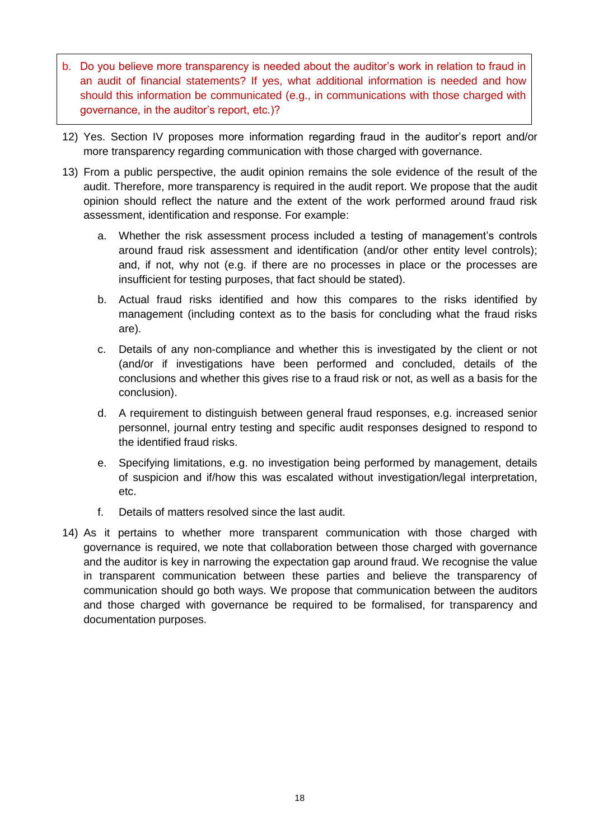- b. Do you believe more transparency is needed about the auditor's work in relation to fraud in an audit of financial statements? If yes, what additional information is needed and how should this information be communicated (e.g., in communications with those charged with governance, in the auditor's report, etc.)?
- 12) Yes. Section IV proposes more information regarding fraud in the auditor's report and/or more transparency regarding communication with those charged with governance.
- 13) From a public perspective, the audit opinion remains the sole evidence of the result of the audit. Therefore, more transparency is required in the audit report. We propose that the audit opinion should reflect the nature and the extent of the work performed around fraud risk assessment, identification and response. For example:
	- a. Whether the risk assessment process included a testing of management's controls around fraud risk assessment and identification (and/or other entity level controls); and, if not, why not (e.g. if there are no processes in place or the processes are insufficient for testing purposes, that fact should be stated).
	- b. Actual fraud risks identified and how this compares to the risks identified by management (including context as to the basis for concluding what the fraud risks are).
	- c. Details of any non-compliance and whether this is investigated by the client or not (and/or if investigations have been performed and concluded, details of the conclusions and whether this gives rise to a fraud risk or not, as well as a basis for the conclusion).
	- d. A requirement to distinguish between general fraud responses, e.g. increased senior personnel, journal entry testing and specific audit responses designed to respond to the identified fraud risks.
	- e. Specifying limitations, e.g. no investigation being performed by management, details of suspicion and if/how this was escalated without investigation/legal interpretation, etc.
	- f. Details of matters resolved since the last audit.
- 14) As it pertains to whether more transparent communication with those charged with governance is required, we note that collaboration between those charged with governance and the auditor is key in narrowing the expectation gap around fraud. We recognise the value in transparent communication between these parties and believe the transparency of communication should go both ways. We propose that communication between the auditors and those charged with governance be required to be formalised, for transparency and documentation purposes.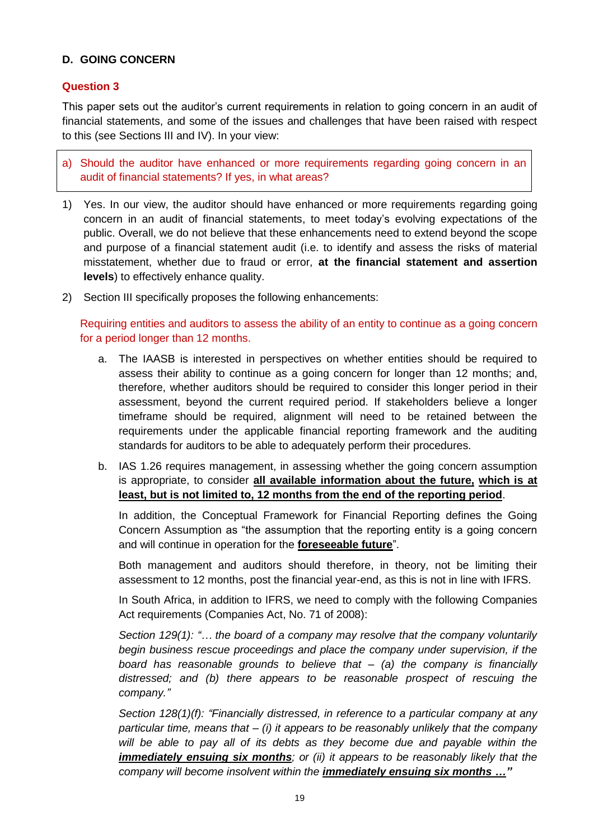## **D. GOING CONCERN**

### **Question 3**

This paper sets out the auditor's current requirements in relation to going concern in an audit of financial statements, and some of the issues and challenges that have been raised with respect to this (see Sections III and IV). In your view:

a) Should the auditor have enhanced or more requirements regarding going concern in an audit of financial statements? If yes, in what areas?

- 1) Yes. In our view, the auditor should have enhanced or more requirements regarding going concern in an audit of financial statements, to meet today's evolving expectations of the public. Overall, we do not believe that these enhancements need to extend beyond the scope and purpose of a financial statement audit (i.e. to identify and assess the risks of material misstatement, whether due to fraud or error, **at the financial statement and assertion levels**) to effectively enhance quality.
- 2) Section III specifically proposes the following enhancements:

Requiring entities and auditors to assess the ability of an entity to continue as a going concern for a period longer than 12 months.

- a. The IAASB is interested in perspectives on whether entities should be required to assess their ability to continue as a going concern for longer than 12 months; and, therefore, whether auditors should be required to consider this longer period in their assessment, beyond the current required period. If stakeholders believe a longer timeframe should be required, alignment will need to be retained between the requirements under the applicable financial reporting framework and the auditing standards for auditors to be able to adequately perform their procedures.
- b. IAS 1.26 requires management, in assessing whether the going concern assumption is appropriate, to consider **all available information about the future, which is at least, but is not limited to, 12 months from the end of the reporting period**.

In addition, the Conceptual Framework for Financial Reporting defines the Going Concern Assumption as "the assumption that the reporting entity is a going concern and will continue in operation for the **foreseeable future**".

Both management and auditors should therefore, in theory, not be limiting their assessment to 12 months, post the financial year-end, as this is not in line with IFRS.

In South Africa, in addition to IFRS, we need to comply with the following Companies Act requirements (Companies Act, No. 71 of 2008):

*Section 129(1): "… the board of a company may resolve that the company voluntarily begin business rescue proceedings and place the company under supervision, if the board has reasonable grounds to believe that – (a) the company is financially distressed; and (b) there appears to be reasonable prospect of rescuing the company."*

*Section 128(1)(f): "Financially distressed, in reference to a particular company at any particular time, means that – (i) it appears to be reasonably unlikely that the company will be able to pay all of its debts as they become due and payable within the immediately ensuing six months; or (ii) it appears to be reasonably likely that the company will become insolvent within the immediately ensuing six months …"*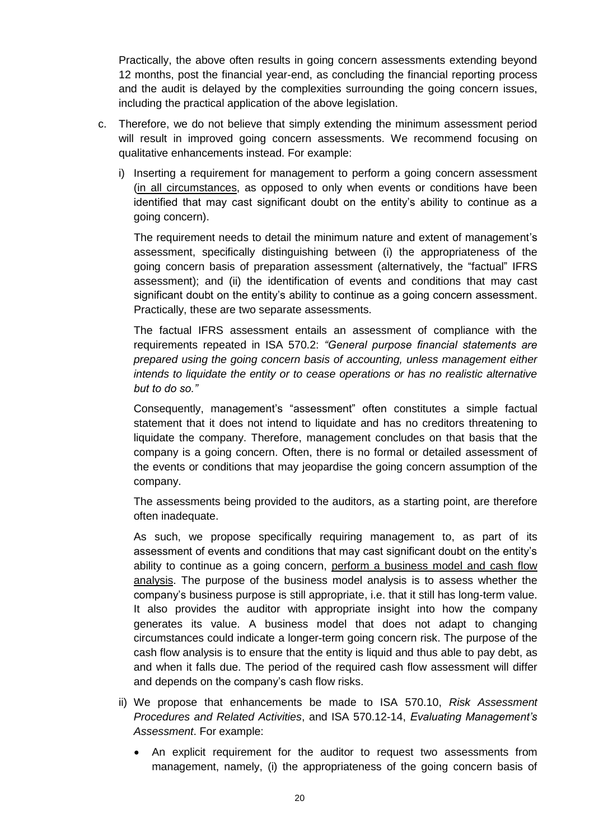Practically, the above often results in going concern assessments extending beyond 12 months, post the financial year-end, as concluding the financial reporting process and the audit is delayed by the complexities surrounding the going concern issues, including the practical application of the above legislation.

- c. Therefore, we do not believe that simply extending the minimum assessment period will result in improved going concern assessments. We recommend focusing on qualitative enhancements instead. For example:
	- i) Inserting a requirement for management to perform a going concern assessment (in all circumstances, as opposed to only when events or conditions have been identified that may cast significant doubt on the entity's ability to continue as a going concern).

The requirement needs to detail the minimum nature and extent of management's assessment, specifically distinguishing between (i) the appropriateness of the going concern basis of preparation assessment (alternatively, the "factual" IFRS assessment); and (ii) the identification of events and conditions that may cast significant doubt on the entity's ability to continue as a going concern assessment. Practically, these are two separate assessments.

The factual IFRS assessment entails an assessment of compliance with the requirements repeated in ISA 570.2: *"General purpose financial statements are prepared using the going concern basis of accounting, unless management either intends to liquidate the entity or to cease operations or has no realistic alternative but to do so."*

Consequently, management's "assessment" often constitutes a simple factual statement that it does not intend to liquidate and has no creditors threatening to liquidate the company. Therefore, management concludes on that basis that the company is a going concern. Often, there is no formal or detailed assessment of the events or conditions that may jeopardise the going concern assumption of the company.

The assessments being provided to the auditors, as a starting point, are therefore often inadequate.

As such, we propose specifically requiring management to, as part of its assessment of events and conditions that may cast significant doubt on the entity's ability to continue as a going concern, perform a business model and cash flow analysis. The purpose of the business model analysis is to assess whether the company's business purpose is still appropriate, i.e. that it still has long-term value. It also provides the auditor with appropriate insight into how the company generates its value. A business model that does not adapt to changing circumstances could indicate a longer-term going concern risk. The purpose of the cash flow analysis is to ensure that the entity is liquid and thus able to pay debt, as and when it falls due. The period of the required cash flow assessment will differ and depends on the company's cash flow risks.

- ii) We propose that enhancements be made to ISA 570.10, *Risk Assessment Procedures and Related Activities*, and ISA 570.12-14, *Evaluating Management's Assessment*. For example:
	- An explicit requirement for the auditor to request two assessments from management, namely, (i) the appropriateness of the going concern basis of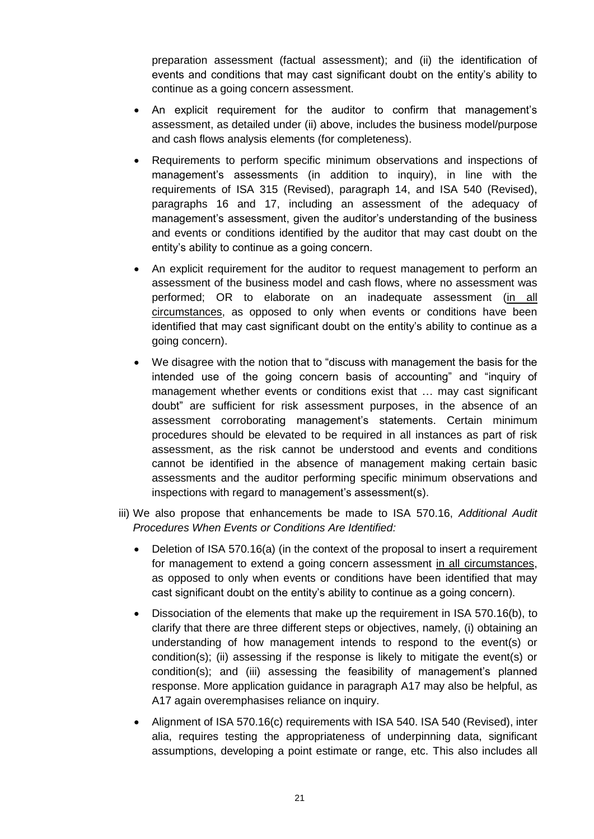preparation assessment (factual assessment); and (ii) the identification of events and conditions that may cast significant doubt on the entity's ability to continue as a going concern assessment.

- An explicit requirement for the auditor to confirm that management's assessment, as detailed under (ii) above, includes the business model/purpose and cash flows analysis elements (for completeness).
- Requirements to perform specific minimum observations and inspections of management's assessments (in addition to inquiry), in line with the requirements of ISA 315 (Revised), paragraph 14, and ISA 540 (Revised), paragraphs 16 and 17, including an assessment of the adequacy of management's assessment, given the auditor's understanding of the business and events or conditions identified by the auditor that may cast doubt on the entity's ability to continue as a going concern.
- An explicit requirement for the auditor to request management to perform an assessment of the business model and cash flows, where no assessment was performed; OR to elaborate on an inadequate assessment (in all circumstances, as opposed to only when events or conditions have been identified that may cast significant doubt on the entity's ability to continue as a going concern).
- We disagree with the notion that to "discuss with management the basis for the intended use of the going concern basis of accounting" and "inquiry of management whether events or conditions exist that … may cast significant doubt" are sufficient for risk assessment purposes, in the absence of an assessment corroborating management's statements. Certain minimum procedures should be elevated to be required in all instances as part of risk assessment, as the risk cannot be understood and events and conditions cannot be identified in the absence of management making certain basic assessments and the auditor performing specific minimum observations and inspections with regard to management's assessment(s).
- iii) We also propose that enhancements be made to ISA 570.16, *Additional Audit Procedures When Events or Conditions Are Identified:*
	- Deletion of ISA 570.16(a) (in the context of the proposal to insert a requirement for management to extend a going concern assessment in all circumstances, as opposed to only when events or conditions have been identified that may cast significant doubt on the entity's ability to continue as a going concern).
	- Dissociation of the elements that make up the requirement in ISA 570.16(b), to clarify that there are three different steps or objectives, namely, (i) obtaining an understanding of how management intends to respond to the event(s) or condition(s); (ii) assessing if the response is likely to mitigate the event(s) or condition(s); and (iii) assessing the feasibility of management's planned response. More application guidance in paragraph A17 may also be helpful, as A17 again overemphasises reliance on inquiry.
	- Alignment of ISA 570.16(c) requirements with ISA 540. ISA 540 (Revised), inter alia, requires testing the appropriateness of underpinning data, significant assumptions, developing a point estimate or range, etc. This also includes all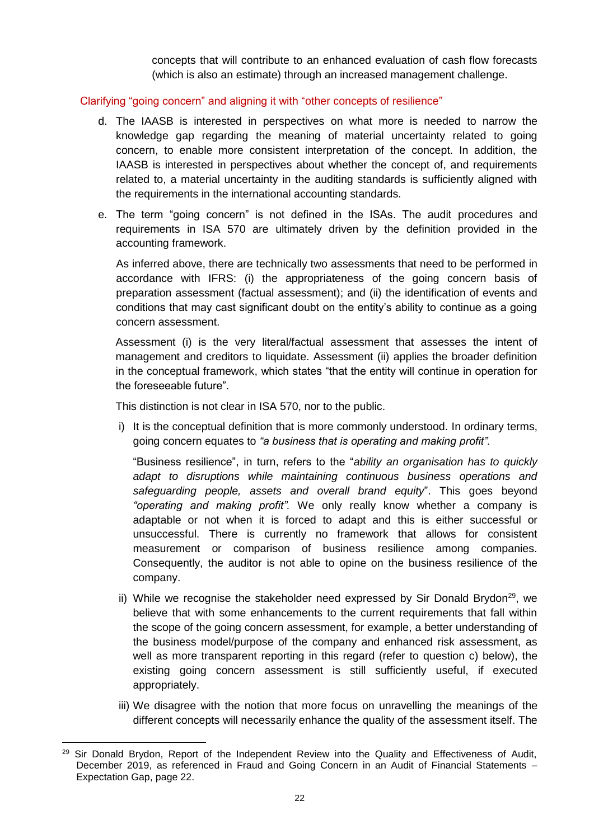concepts that will contribute to an enhanced evaluation of cash flow forecasts (which is also an estimate) through an increased management challenge.

### Clarifying "going concern" and aligning it with "other concepts of resilience"

- d. The IAASB is interested in perspectives on what more is needed to narrow the knowledge gap regarding the meaning of material uncertainty related to going concern, to enable more consistent interpretation of the concept. In addition, the IAASB is interested in perspectives about whether the concept of, and requirements related to, a material uncertainty in the auditing standards is sufficiently aligned with the requirements in the international accounting standards.
- e. The term "going concern" is not defined in the ISAs. The audit procedures and requirements in ISA 570 are ultimately driven by the definition provided in the accounting framework.

As inferred above, there are technically two assessments that need to be performed in accordance with IFRS: (i) the appropriateness of the going concern basis of preparation assessment (factual assessment); and (ii) the identification of events and conditions that may cast significant doubt on the entity's ability to continue as a going concern assessment.

Assessment (i) is the very literal/factual assessment that assesses the intent of management and creditors to liquidate. Assessment (ii) applies the broader definition in the conceptual framework, which states "that the entity will continue in operation for the foreseeable future".

This distinction is not clear in ISA 570, nor to the public.

i) It is the conceptual definition that is more commonly understood. In ordinary terms, going concern equates to *"a business that is operating and making profit".* 

"Business resilience", in turn, refers to the "*ability an organisation has to quickly adapt to disruptions while maintaining continuous business operations and safeguarding people, assets and overall brand equity*". This goes beyond *"operating and making profit".* We only really know whether a company is adaptable or not when it is forced to adapt and this is either successful or unsuccessful. There is currently no framework that allows for consistent measurement or comparison of business resilience among companies. Consequently, the auditor is not able to opine on the business resilience of the company.

- ii) While we recognise the stakeholder need expressed by Sir Donald Brydon<sup>29</sup>, we believe that with some enhancements to the current requirements that fall within the scope of the going concern assessment, for example, a better understanding of the business model/purpose of the company and enhanced risk assessment, as well as more transparent reporting in this regard (refer to question c) below), the existing going concern assessment is still sufficiently useful, if executed appropriately.
- iii) We disagree with the notion that more focus on unravelling the meanings of the different concepts will necessarily enhance the quality of the assessment itself. The

 $\overline{a}$ <sup>29</sup> Sir Donald Brydon, Report of the Independent Review into the Quality and Effectiveness of Audit, December 2019, as referenced in Fraud and Going Concern in an Audit of Financial Statements – Expectation Gap, page 22.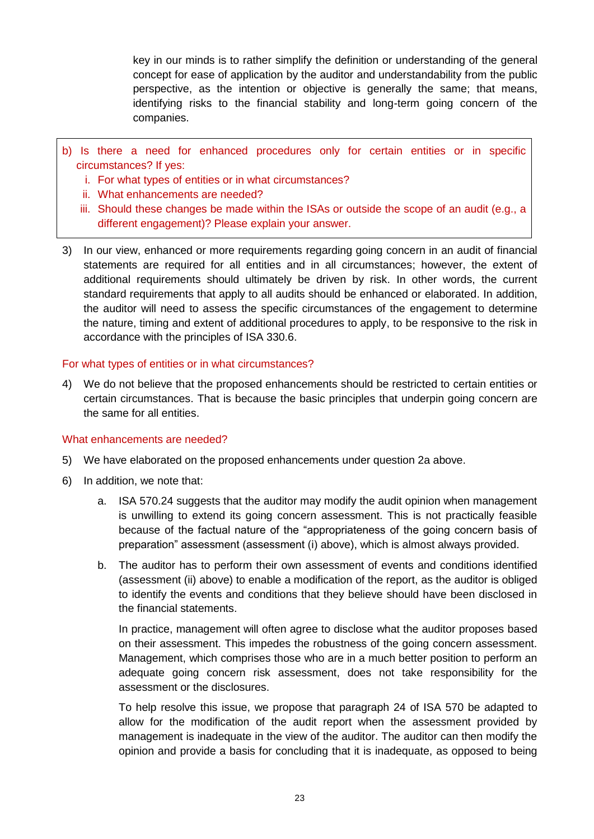key in our minds is to rather simplify the definition or understanding of the general concept for ease of application by the auditor and understandability from the public perspective, as the intention or objective is generally the same; that means, identifying risks to the financial stability and long-term going concern of the companies.

- b) Is there a need for enhanced procedures only for certain entities or in specific circumstances? If yes:
	- i. For what types of entities or in what circumstances?
	- ii. What enhancements are needed?
	- iii. Should these changes be made within the ISAs or outside the scope of an audit (e.g., a different engagement)? Please explain your answer.
- 3) In our view, enhanced or more requirements regarding going concern in an audit of financial statements are required for all entities and in all circumstances; however, the extent of additional requirements should ultimately be driven by risk. In other words, the current standard requirements that apply to all audits should be enhanced or elaborated. In addition, the auditor will need to assess the specific circumstances of the engagement to determine the nature, timing and extent of additional procedures to apply, to be responsive to the risk in accordance with the principles of ISA 330.6.

For what types of entities or in what circumstances?

4) We do not believe that the proposed enhancements should be restricted to certain entities or certain circumstances. That is because the basic principles that underpin going concern are the same for all entities.

### What enhancements are needed?

- 5) We have elaborated on the proposed enhancements under question 2a above.
- 6) In addition, we note that:
	- a. ISA 570.24 suggests that the auditor may modify the audit opinion when management is unwilling to extend its going concern assessment. This is not practically feasible because of the factual nature of the "appropriateness of the going concern basis of preparation" assessment (assessment (i) above), which is almost always provided.
	- b. The auditor has to perform their own assessment of events and conditions identified (assessment (ii) above) to enable a modification of the report, as the auditor is obliged to identify the events and conditions that they believe should have been disclosed in the financial statements.

In practice, management will often agree to disclose what the auditor proposes based on their assessment. This impedes the robustness of the going concern assessment. Management, which comprises those who are in a much better position to perform an adequate going concern risk assessment, does not take responsibility for the assessment or the disclosures.

To help resolve this issue, we propose that paragraph 24 of ISA 570 be adapted to allow for the modification of the audit report when the assessment provided by management is inadequate in the view of the auditor. The auditor can then modify the opinion and provide a basis for concluding that it is inadequate, as opposed to being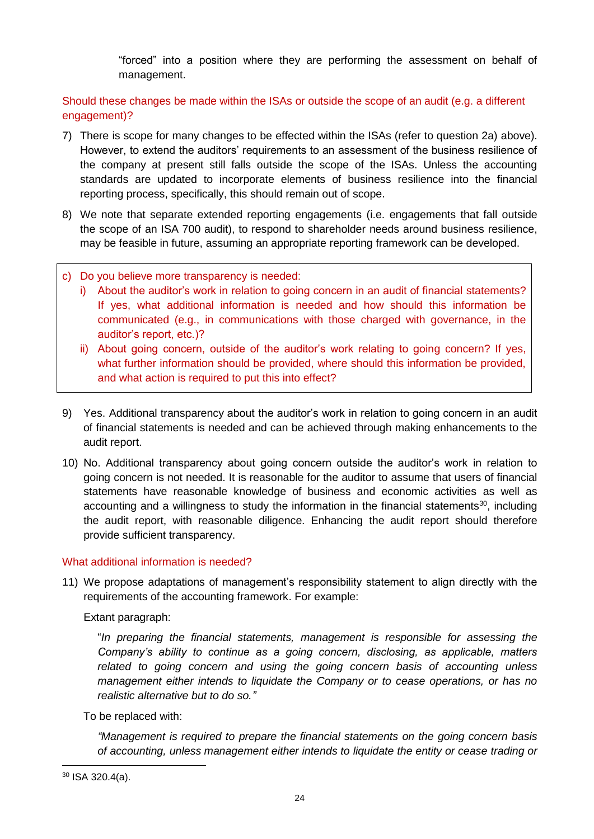"forced" into a position where they are performing the assessment on behalf of management.

Should these changes be made within the ISAs or outside the scope of an audit (e.g. a different engagement)?

- 7) There is scope for many changes to be effected within the ISAs (refer to question 2a) above). However, to extend the auditors' requirements to an assessment of the business resilience of the company at present still falls outside the scope of the ISAs. Unless the accounting standards are updated to incorporate elements of business resilience into the financial reporting process, specifically, this should remain out of scope.
- 8) We note that separate extended reporting engagements (i.e. engagements that fall outside the scope of an ISA 700 audit), to respond to shareholder needs around business resilience, may be feasible in future, assuming an appropriate reporting framework can be developed.
- c) Do you believe more transparency is needed:
	- i) About the auditor's work in relation to going concern in an audit of financial statements? If yes, what additional information is needed and how should this information be communicated (e.g., in communications with those charged with governance, in the auditor's report, etc.)?
	- ii) About going concern, outside of the auditor's work relating to going concern? If yes, what further information should be provided, where should this information be provided, and what action is required to put this into effect?
- 9) Yes. Additional transparency about the auditor's work in relation to going concern in an audit of financial statements is needed and can be achieved through making enhancements to the audit report.
- 10) No. Additional transparency about going concern outside the auditor's work in relation to going concern is not needed. It is reasonable for the auditor to assume that users of financial statements have reasonable knowledge of business and economic activities as well as accounting and a willingness to study the information in the financial statements<sup>30</sup>, including the audit report, with reasonable diligence. Enhancing the audit report should therefore provide sufficient transparency.

### What additional information is needed?

11) We propose adaptations of management's responsibility statement to align directly with the requirements of the accounting framework. For example:

Extant paragraph:

"*In preparing the financial statements, management is responsible for assessing the Company's ability to continue as a going concern, disclosing, as applicable, matters related to going concern and using the going concern basis of accounting unless management either intends to liquidate the Company or to cease operations, or has no realistic alternative but to do so."*

To be replaced with:

*"Management is required to prepare the financial statements on the going concern basis of accounting, unless management either intends to liquidate the entity or cease trading or*

<sup>30</sup> ISA 320.4(a).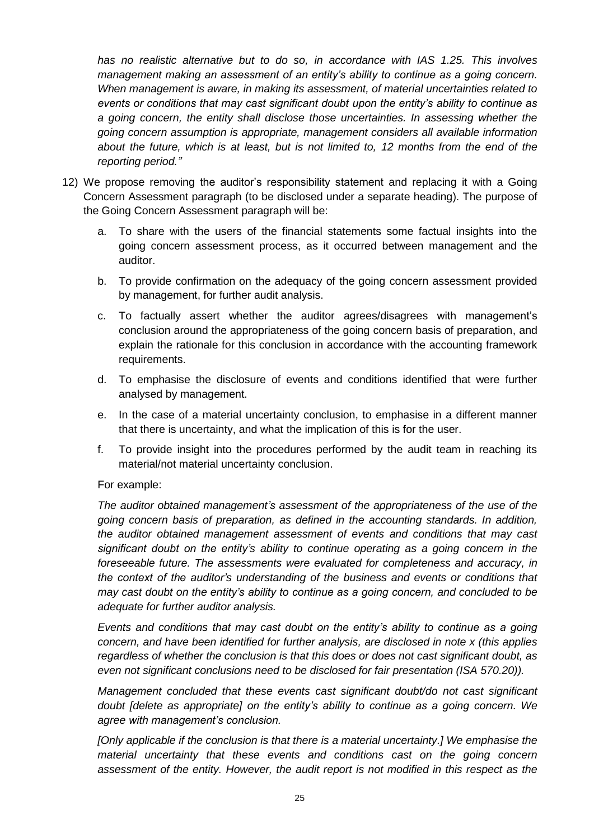*has no realistic alternative but to do so, in accordance with IAS 1.25. This involves management making an assessment of an entity's ability to continue as a going concern. When management is aware, in making its assessment, of material uncertainties related to events or conditions that may cast significant doubt upon the entity's ability to continue as a going concern, the entity shall disclose those uncertainties. In assessing whether the going concern assumption is appropriate, management considers all available information about the future, which is at least, but is not limited to, 12 months from the end of the reporting period."*

- 12) We propose removing the auditor's responsibility statement and replacing it with a Going Concern Assessment paragraph (to be disclosed under a separate heading). The purpose of the Going Concern Assessment paragraph will be:
	- a. To share with the users of the financial statements some factual insights into the going concern assessment process, as it occurred between management and the auditor.
	- b. To provide confirmation on the adequacy of the going concern assessment provided by management, for further audit analysis.
	- c. To factually assert whether the auditor agrees/disagrees with management's conclusion around the appropriateness of the going concern basis of preparation, and explain the rationale for this conclusion in accordance with the accounting framework requirements.
	- d. To emphasise the disclosure of events and conditions identified that were further analysed by management.
	- e. In the case of a material uncertainty conclusion, to emphasise in a different manner that there is uncertainty, and what the implication of this is for the user.
	- f. To provide insight into the procedures performed by the audit team in reaching its material/not material uncertainty conclusion.

### For example:

*The auditor obtained management's assessment of the appropriateness of the use of the going concern basis of preparation, as defined in the accounting standards. In addition, the auditor obtained management assessment of events and conditions that may cast significant doubt on the entity's ability to continue operating as a going concern in the foreseeable future. The assessments were evaluated for completeness and accuracy, in the context of the auditor's understanding of the business and events or conditions that may cast doubt on the entity's ability to continue as a going concern, and concluded to be adequate for further auditor analysis.*

*Events and conditions that may cast doubt on the entity's ability to continue as a going concern, and have been identified for further analysis, are disclosed in note x (this applies regardless of whether the conclusion is that this does or does not cast significant doubt, as even not significant conclusions need to be disclosed for fair presentation (ISA 570.20)).*

*Management concluded that these events cast significant doubt/do not cast significant doubt [delete as appropriate] on the entity's ability to continue as a going concern. We agree with management's conclusion.* 

*[Only applicable if the conclusion is that there is a material uncertainty.] We emphasise the material uncertainty that these events and conditions cast on the going concern assessment of the entity. However, the audit report is not modified in this respect as the*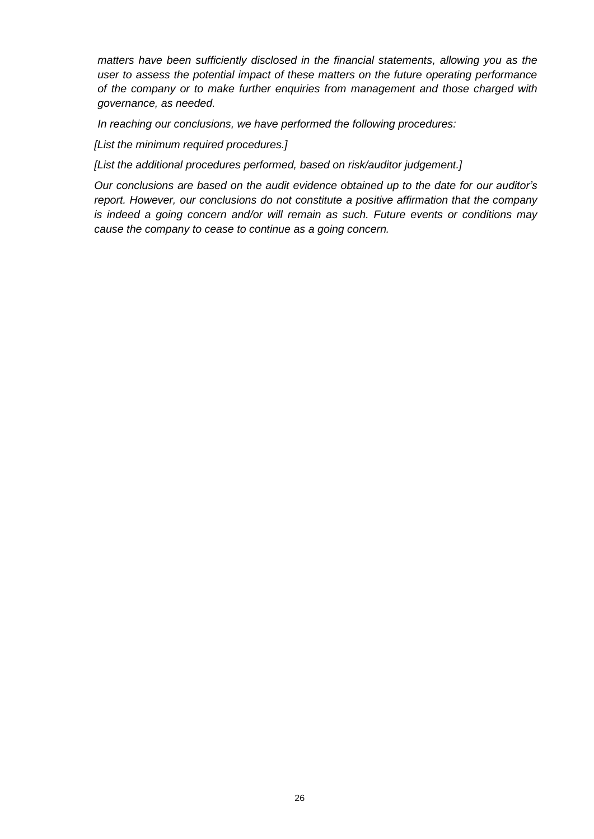*matters have been sufficiently disclosed in the financial statements, allowing you as the user to assess the potential impact of these matters on the future operating performance of the company or to make further enquiries from management and those charged with governance, as needed.* 

*In reaching our conclusions, we have performed the following procedures:*

*[List the minimum required procedures.]*

*[List the additional procedures performed, based on risk/auditor judgement.]*

*Our conclusions are based on the audit evidence obtained up to the date for our auditor's report. However, our conclusions do not constitute a positive affirmation that the company is indeed a going concern and/or will remain as such. Future events or conditions may cause the company to cease to continue as a going concern.*